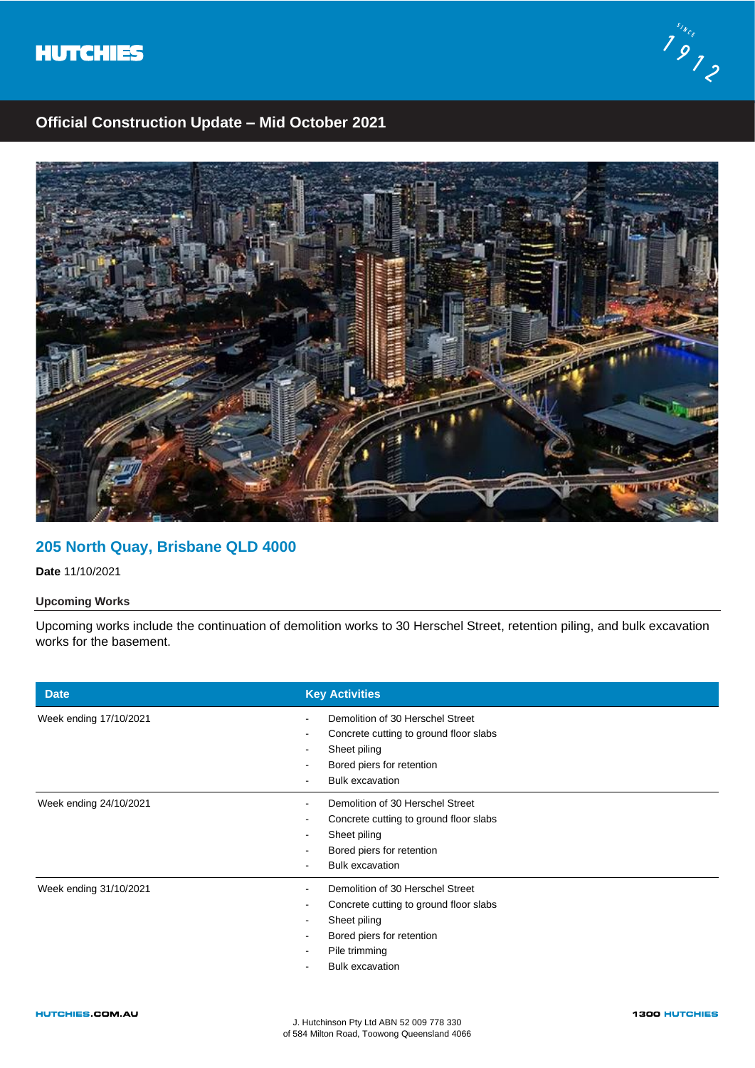



## **Official Construction Update – Mid October 2021**



# **205 North Quay, Brisbane QLD 4000**

**Date** 11/10/2021

### **Upcoming Works**

Upcoming works include the continuation of demolition works to 30 Herschel Street, retention piling, and bulk excavation works for the basement.

| <b>Date</b>            | <b>Key Activities</b>                                                                                                                                                   |
|------------------------|-------------------------------------------------------------------------------------------------------------------------------------------------------------------------|
| Week ending 17/10/2021 | Demolition of 30 Herschel Street<br>Concrete cutting to ground floor slabs<br>Sheet piling<br>Bored piers for retention<br><b>Bulk excavation</b>                       |
| Week ending 24/10/2021 | Demolition of 30 Herschel Street<br>Concrete cutting to ground floor slabs<br>Sheet piling<br>Bored piers for retention<br><b>Bulk excavation</b>                       |
| Week ending 31/10/2021 | Demolition of 30 Herschel Street<br>Concrete cutting to ground floor slabs<br>Sheet piling<br>Bored piers for retention<br>Pile trimming<br><b>Bulk excavation</b><br>۰ |